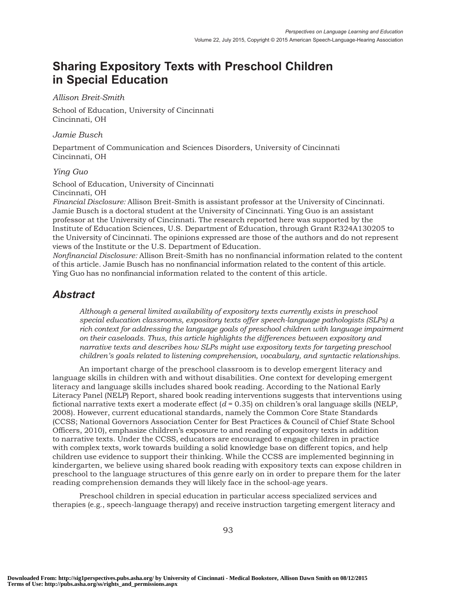# Sharing Expository Texts with Preschool Children in Special Education

#### Allison Breit-Smith

School of Education, University of Cincinnati Cincinnati, OH

Jamie Busch

Department of Communication and Sciences Disorders, University of Cincinnati Cincinnati, OH

#### Ying Guo

School of Education, University of Cincinnati Cincinnati, OH

Financial Disclosure: Allison Breit-Smith is assistant professor at the University of Cincinnati. Jamie Busch is a doctoral student at the University of Cincinnati. Ying Guo is an assistant professor at the University of Cincinnati. The research reported here was supported by the Institute of Education Sciences, U.S. Department of Education, through Grant R324A130205 to the University of Cincinnati. The opinions expressed are those of the authors and do not represent views of the Institute or the U.S. Department of Education.

Nonfinancial Disclosure: Allison Breit-Smith has no nonfinancial information related to the content of this article. Jamie Busch has no nonfinancial information related to the content of this article. Ying Guo has no nonfinancial information related to the content of this article.

### Abstract

Although a general limited availability of expository texts currently exists in preschool special education classrooms, expository texts offer speech-language pathologists (SLPs) a rich context for addressing the language goals of preschool children with language impairment on their caseloads. Thus, this article highlights the differences between expository and narrative texts and describes how SLPs might use expository texts for targeting preschool children's goals related to listening comprehension, vocabulary, and syntactic relationships.

An important charge of the preschool classroom is to develop emergent literacy and language skills in children with and without disabilities. One context for developing emergent literacy and language skills includes shared book reading. According to the National Early Literacy Panel (NELP) Report, shared book reading interventions suggests that interventions using fictional narrative texts exert a moderate effect  $(d = 0.35)$  on children's oral language skills (NELP, 2008). However, current educational standards, namely the Common Core State Standards (CCSS; National Governors Association Center for Best Practices & Council of Chief State School Officers, 2010), emphasize children's exposure to and reading of expository texts in addition to narrative texts. Under the CCSS, educators are encouraged to engage children in practice with complex texts, work towards building a solid knowledge base on different topics, and help children use evidence to support their thinking. While the CCSS are implemented beginning in kindergarten, we believe using shared book reading with expository texts can expose children in preschool to the language structures of this genre early on in order to prepare them for the later reading comprehension demands they will likely face in the school-age years.

Preschool children in special education in particular access specialized services and therapies (e.g., speech-language therapy) and receive instruction targeting emergent literacy and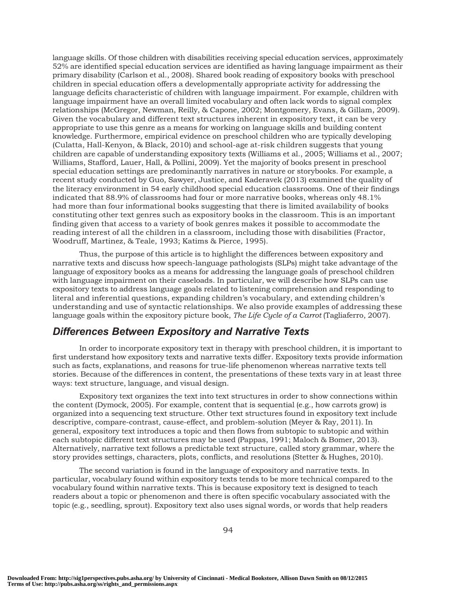language skills. Of those children with disabilities receiving special education services, approximately 52% are identified special education services are identified as having language impairment as their primary disability (Carlson et al., 2008). Shared book reading of expository books with preschool children in special education offers a developmentally appropriate activity for addressing the language deficits characteristic of children with language impairment. For example, children with language impairment have an overall limited vocabulary and often lack words to signal complex relationships (McGregor, Newman, Reilly, & Capone, 2002; Montgomery, Evans, & Gillam, 2009). Given the vocabulary and different text structures inherent in expository text, it can be very appropriate to use this genre as a means for working on language skills and building content knowledge. Furthermore, empirical evidence on preschool children who are typically developing (Culatta, Hall-Kenyon, & Black, 2010) and school-age at-risk children suggests that young children are capable of understanding expository texts (Williams et al., 2005; Williams et al., 2007; Williams, Stafford, Lauer, Hall, & Pollini, 2009). Yet the majority of books present in preschool special education settings are predominantly narratives in nature or storybooks. For example, a recent study conducted by Guo, Sawyer, Justice, and Kaderavek (2013) examined the quality of the literacy environment in 54 early childhood special education classrooms. One of their findings indicated that 88.9% of classrooms had four or more narrative books, whereas only 48.1% had more than four informational books suggesting that there is limited availability of books constituting other text genres such as expository books in the classroom. This is an important finding given that access to a variety of book genres makes it possible to accommodate the reading interest of all the children in a classroom, including those with disabilities (Fractor, Woodruff, Martinez, & Teale, 1993; Katims & Pierce, 1995).

Thus, the purpose of this article is to highlight the differences between expository and narrative texts and discuss how speech-language pathologists (SLPs) might take advantage of the language of expository books as a means for addressing the language goals of preschool children with language impairment on their caseloads. In particular, we will describe how SLPs can use expository texts to address language goals related to listening comprehension and responding to literal and inferential questions, expanding children's vocabulary, and extending children's understanding and use of syntactic relationships. We also provide examples of addressing these language goals within the expository picture book, The Life Cycle of a Carrot (Tagliaferro, 2007).

#### Differences Between Expository and Narrative Texts

In order to incorporate expository text in therapy with preschool children, it is important to first understand how expository texts and narrative texts differ. Expository texts provide information such as facts, explanations, and reasons for true-life phenomenon whereas narrative texts tell stories. Because of the differences in content, the presentations of these texts vary in at least three ways: text structure, language, and visual design.

Expository text organizes the text into text structures in order to show connections within the content (Dymock, 2005). For example, content that is sequential (e.g., how carrots grow) is organized into a sequencing text structure. Other text structures found in expository text include descriptive, compare-contrast, cause-effect, and problem-solution (Meyer & Ray, 2011). In general, expository text introduces a topic and then flows from subtopic to subtopic and within each subtopic different text structures may be used (Pappas, 1991; Maloch & Bomer, 2013). Alternatively, narrative text follows a predictable text structure, called story grammar, where the story provides settings, characters, plots, conflicts, and resolutions (Stetter & Hughes, 2010).

The second variation is found in the language of expository and narrative texts. In particular, vocabulary found within expository texts tends to be more technical compared to the vocabulary found within narrative texts. This is because expository text is designed to teach readers about a topic or phenomenon and there is often specific vocabulary associated with the topic (e.g., seedling, sprout). Expository text also uses signal words, or words that help readers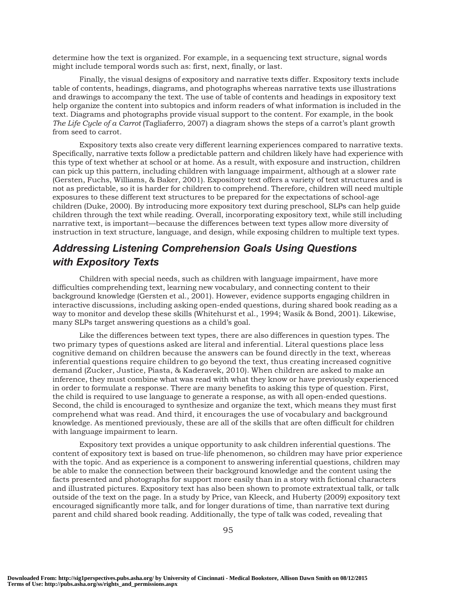determine how the text is organized. For example, in a sequencing text structure, signal words might include temporal words such as: first, next, finally, or last.

Finally, the visual designs of expository and narrative texts differ. Expository texts include table of contents, headings, diagrams, and photographs whereas narrative texts use illustrations and drawings to accompany the text. The use of table of contents and headings in expository text help organize the content into subtopics and inform readers of what information is included in the text. Diagrams and photographs provide visual support to the content. For example, in the book The Life Cycle of a Carrot (Tagliaferro, 2007) a diagram shows the steps of a carrot's plant growth from seed to carrot.

Expository texts also create very different learning experiences compared to narrative texts. Specifically, narrative texts follow a predictable pattern and children likely have had experience with this type of text whether at school or at home. As a result, with exposure and instruction, children can pick up this pattern, including children with language impairment, although at a slower rate (Gersten, Fuchs, Williams, & Baker, 2001). Expository text offers a variety of text structures and is not as predictable, so it is harder for children to comprehend. Therefore, children will need multiple exposures to these different text structures to be prepared for the expectations of school-age children (Duke, 2000). By introducing more expository text during preschool, SLPs can help guide children through the text while reading. Overall, incorporating expository text, while still including narrative text, is important—because the differences between text types allow more diversity of instruction in text structure, language, and design, while exposing children to multiple text types.

## Addressing Listening Comprehension Goals Using Questions with Expository Texts

Children with special needs, such as children with language impairment, have more difficulties comprehending text, learning new vocabulary, and connecting content to their background knowledge (Gersten et al., 2001). However, evidence supports engaging children in interactive discussions, including asking open-ended questions, during shared book reading as a way to monitor and develop these skills (Whitehurst et al., 1994; Wasik & Bond, 2001). Likewise, many SLPs target answering questions as a child's goal.

Like the differences between text types, there are also differences in question types. The two primary types of questions asked are literal and inferential. Literal questions place less cognitive demand on children because the answers can be found directly in the text, whereas inferential questions require children to go beyond the text, thus creating increased cognitive demand (Zucker, Justice, Piasta, & Kaderavek, 2010). When children are asked to make an inference, they must combine what was read with what they know or have previously experienced in order to formulate a response. There are many benefits to asking this type of question. First, the child is required to use language to generate a response, as with all open-ended questions. Second, the child is encouraged to synthesize and organize the text, which means they must first comprehend what was read. And third, it encourages the use of vocabulary and background knowledge. As mentioned previously, these are all of the skills that are often difficult for children with language impairment to learn.

Expository text provides a unique opportunity to ask children inferential questions. The content of expository text is based on true-life phenomenon, so children may have prior experience with the topic. And as experience is a component to answering inferential questions, children may be able to make the connection between their background knowledge and the content using the facts presented and photographs for support more easily than in a story with fictional characters and illustrated pictures. Expository text has also been shown to promote extratextual talk, or talk outside of the text on the page. In a study by Price, van Kleeck, and Huberty (2009) expository text encouraged significantly more talk, and for longer durations of time, than narrative text during parent and child shared book reading. Additionally, the type of talk was coded, revealing that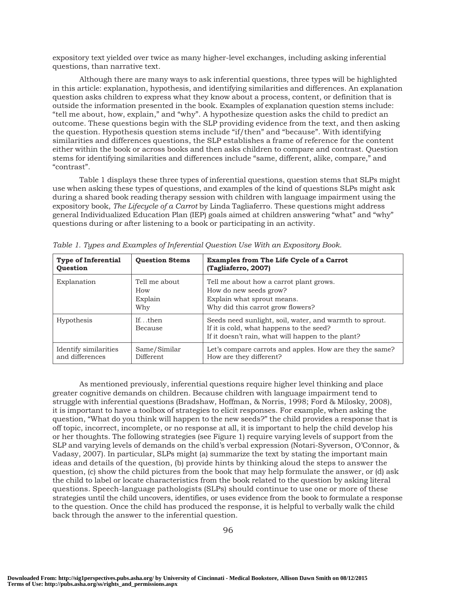expository text yielded over twice as many higher-level exchanges, including asking inferential questions, than narrative text.

Although there are many ways to ask inferential questions, three types will be highlighted in this article: explanation, hypothesis, and identifying similarities and differences. An explanation question asks children to express what they know about a process, content, or definition that is outside the information presented in the book. Examples of explanation question stems include: "tell me about, how, explain," and "why". A hypothesize question asks the child to predict an outcome. These questions begin with the SLP providing evidence from the text, and then asking the question. Hypothesis question stems include "if/then" and "because". With identifying similarities and differences questions, the SLP establishes a frame of reference for the content either within the book or across books and then asks children to compare and contrast. Question stems for identifying similarities and differences include "same, different, alike, compare," and "contrast".

Table 1 displays these three types of inferential questions, question stems that SLPs might use when asking these types of questions, and examples of the kind of questions SLPs might ask during a shared book reading therapy session with children with language impairment using the expository book, The Lifecycle of a Carrot by Linda Tagliaferro. These questions might address general Individualized Education Plan (IEP) goals aimed at children answering "what" and "why" questions during or after listening to a book or participating in an activity.

| <b>Type of Inferential</b><br><b>Ouestion</b> | <b>Question Stems</b>                  | <b>Examples from The Life Cycle of a Carrot</b><br>(Tagliaferro, 2007)                                                                                    |
|-----------------------------------------------|----------------------------------------|-----------------------------------------------------------------------------------------------------------------------------------------------------------|
| Explanation                                   | Tell me about<br>How<br>Explain<br>Why | Tell me about how a carrot plant grows.<br>How do new seeds grow?<br>Explain what sprout means.<br>Why did this carrot grow flowers?                      |
| <b>Hypothesis</b>                             | Ifthen<br>Because                      | Seeds need sunlight, soil, water, and warmth to sprout.<br>If it is cold, what happens to the seed?<br>If it doesn't rain, what will happen to the plant? |
| Identify similarities<br>and differences      | Same/Similar<br>Different              | Let's compare carrots and apples. How are they the same?<br>How are they different?                                                                       |

As mentioned previously, inferential questions require higher level thinking and place greater cognitive demands on children. Because children with language impairment tend to struggle with inferential questions (Bradshaw, Hoffman, & Norris, 1998; Ford & Milosky, 2008), it is important to have a toolbox of strategies to elicit responses. For example, when asking the question, "What do you think will happen to the new seeds?" the child provides a response that is off topic, incorrect, incomplete, or no response at all, it is important to help the child develop his or her thoughts. The following strategies (see Figure 1) require varying levels of support from the SLP and varying levels of demands on the child's verbal expression (Notari-Syverson, O'Connor, & Vadasy, 2007). In particular, SLPs might (a) summarize the text by stating the important main ideas and details of the question, (b) provide hints by thinking aloud the steps to answer the question, (c) show the child pictures from the book that may help formulate the answer, or (d) ask the child to label or locate characteristics from the book related to the question by asking literal questions. Speech-language pathologists (SLPs) should continue to use one or more of these strategies until the child uncovers, identifies, or uses evidence from the book to formulate a response to the question. Once the child has produced the response, it is helpful to verbally walk the child back through the answer to the inferential question.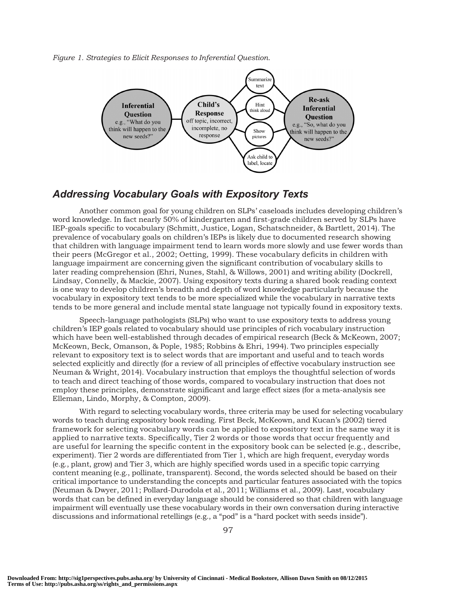Figure 1. Strategies to Elicit Responses to Inferential Question.



### Addressing Vocabulary Goals with Expository Texts

Another common goal for young children on SLPs' caseloads includes developing children's word knowledge. In fact nearly 50% of kindergarten and first-grade children served by SLPs have IEP-goals specific to vocabulary (Schmitt, Justice, Logan, Schatschneider, & Bartlett, 2014). The prevalence of vocabulary goals on children's IEPs is likely due to documented research showing that children with language impairment tend to learn words more slowly and use fewer words than their peers (McGregor et al., 2002; Oetting, 1999). These vocabulary deficits in children with language impairment are concerning given the significant contribution of vocabulary skills to later reading comprehension (Ehri, Nunes, Stahl, & Willows, 2001) and writing ability (Dockrell, Lindsay, Connelly, & Mackie, 2007). Using expository texts during a shared book reading context is one way to develop children's breadth and depth of word knowledge particularly because the vocabulary in expository text tends to be more specialized while the vocabulary in narrative texts tends to be more general and include mental state language not typically found in expository texts.

Speech-language pathologists (SLPs) who want to use expository texts to address young children's IEP goals related to vocabulary should use principles of rich vocabulary instruction which have been well-established through decades of empirical research (Beck & McKeown, 2007; McKeown, Beck, Omanson, & Pople, 1985; Robbins & Ehri, 1994). Two principles especially relevant to expository text is to select words that are important and useful and to teach words selected explicitly and directly (for a review of all principles of effective vocabulary instruction see Neuman & Wright, 2014). Vocabulary instruction that employs the thoughtful selection of words to teach and direct teaching of those words, compared to vocabulary instruction that does not employ these principles, demonstrate significant and large effect sizes (for a meta-analysis see Elleman, Lindo, Morphy, & Compton, 2009).

With regard to selecting vocabulary words, three criteria may be used for selecting vocabulary words to teach during expository book reading. First Beck, McKeown, and Kucan's (2002) tiered framework for selecting vocabulary words can be applied to expository text in the same way it is applied to narrative texts. Specifically, Tier 2 words or those words that occur frequently and are useful for learning the specific content in the expository book can be selected (e.g., describe, experiment). Tier 2 words are differentiated from Tier 1, which are high frequent, everyday words (e.g., plant, grow) and Tier 3, which are highly specified words used in a specific topic carrying content meaning (e.g., pollinate, transparent). Second, the words selected should be based on their critical importance to understanding the concepts and particular features associated with the topics (Neuman & Dwyer, 2011; Pollard-Durodola et al., 2011; Williams et al., 2009). Last, vocabulary words that can be defined in everyday language should be considered so that children with language impairment will eventually use these vocabulary words in their own conversation during interactive discussions and informational retellings (e.g., a "pod" is a "hard pocket with seeds inside").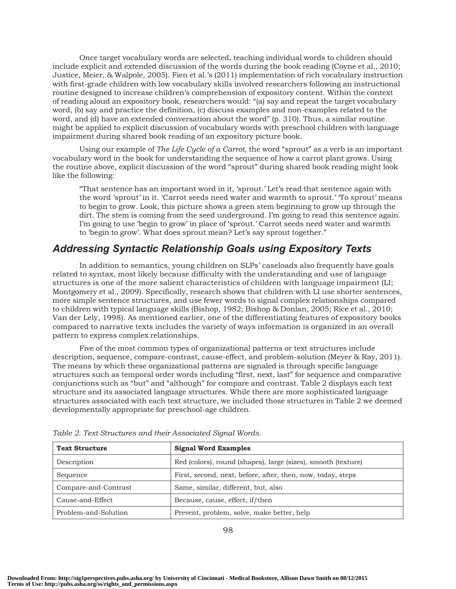Once target vocabulary words are selected, teaching individual words to children should include explicit and extended discussion of the words during the book reading (Coyne et al., 2010; Justice, Meier, & Walpole, 2005). Fien et al.'s (2011) implementation of rich vocabulary instruction with first-grade children with low vocabulary skills involved researchers following an instructional routine designed to increase children's comprehension of expository content. Within the context of reading aloud an expository book, researchers would: "(a) say and repeat the target vocabulary word, (b) say and practice the definition, (c) discuss examples and non-examples related to the word, and (d) have an extended conversation about the word" (p. 310). Thus, a similar routine might be applied to explicit discussion of vocabulary words with preschool children with language impairment during shared book reading of an expository picture book.

Using our example of The Life Cycle of a Carrot, the word "sprout" as a verb is an important vocabulary word in the book for understanding the sequence of how a carrot plant grows. Using the routine above, explicit discussion of the word "sprout" during shared book reading might look like the following:

"That sentence has an important word in it, 'sprout.' Let's read that sentence again with the word 'sprout' in it. 'Carrot seeds need water and warmth to sprout.' 'To sprout' means to begin to grow. Look, this picture shows a green stem beginning to grow up through the dirt. The stem is coming from the seed underground. I'm going to read this sentence again. I'm going to use 'begin to grow' in place of 'sprout.' Carrot seeds need water and warmth to 'begin to grow'. What does sprout mean? Let's say sprout together."

# Addressing Syntactic Relationship Goals using Expository Texts

In addition to semantics, young children on SLPs' caseloads also frequently have goals related to syntax, most likely because difficulty with the understanding and use of language structures is one of the more salient characteristics of children with language impairment (LI; Montgomery et al., 2009). Specifically, research shows that children with LI use shorter sentences, more simple sentence structures, and use fewer words to signal complex relationships compared to children with typical language skills (Bishop, 1982; Bishop & Donlan, 2005; Rice et al., 2010; Van der Lely, 1998). As mentioned earlier, one of the differentiating features of expository books compared to narrative texts includes the variety of ways information is organized in an overall pattern to express complex relationships.

Five of the most common types of organizational patterns or text structures include description, sequence, compare-contrast, cause-effect, and problem-solution (Meyer & Ray, 2011). The means by which these organizational patterns are signaled is through specific language structures such as temporal order words including "first, next, last" for sequence and comparative conjunctions such as "but" and "although" for compare and contrast. Table 2 displays each text structure and its associated language structures. While there are more sophisticated language structures associated with each text structure, we included those structures in Table 2 we deemed developmentally appropriate for preschool-age children.

| <b>Text Structure</b> | <b>Signal Word Examples</b>                                   |
|-----------------------|---------------------------------------------------------------|
| Description           | Red (colors), round (shapes), large (sizes), smooth (texture) |
| Sequence              | First, second, next, before, after, then, now, today, steps   |
| Compare-and-Contrast  | Same, similar, different, but, also                           |
| Cause-and-Effect      | Because, cause, effect, if/then                               |
| Problem-and-Solution  | Prevent, problem, solve, make better, help                    |

Table 2. Text Structures and their Associated Signal Words.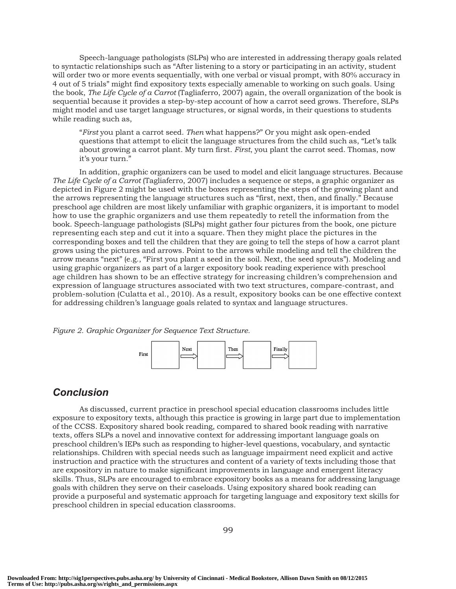Speech-language pathologists (SLPs) who are interested in addressing therapy goals related to syntactic relationships such as "After listening to a story or participating in an activity, student will order two or more events sequentially, with one verbal or visual prompt, with 80% accuracy in 4 out of 5 trials" might find expository texts especially amenable to working on such goals. Using the book, The Life Cycle of a Carrot (Tagliaferro, 2007) again, the overall organization of the book is sequential because it provides a step-by-step account of how a carrot seed grows. Therefore, SLPs might model and use target language structures, or signal words, in their questions to students while reading such as,

"First you plant a carrot seed. Then what happens?" Or you might ask open-ended questions that attempt to elicit the language structures from the child such as, "Let's talk about growing a carrot plant. My turn first. First, you plant the carrot seed. Thomas, now it's your turn."

In addition, graphic organizers can be used to model and elicit language structures. Because The Life Cycle of a Carrot (Tagliaferro, 2007) includes a sequence or steps, a graphic organizer as depicted in Figure 2 might be used with the boxes representing the steps of the growing plant and the arrows representing the language structures such as "first, next, then, and finally." Because preschool age children are most likely unfamiliar with graphic organizers, it is important to model how to use the graphic organizers and use them repeatedly to retell the information from the book. Speech-language pathologists (SLPs) might gather four pictures from the book, one picture representing each step and cut it into a square. Then they might place the pictures in the corresponding boxes and tell the children that they are going to tell the steps of how a carrot plant grows using the pictures and arrows. Point to the arrows while modeling and tell the children the arrow means "next" (e.g., "First you plant a seed in the soil. Next, the seed sprouts"). Modeling and using graphic organizers as part of a larger expository book reading experience with preschool age children has shown to be an effective strategy for increasing children's comprehension and expression of language structures associated with two text structures, compare-contrast, and problem-solution (Culatta et al., 2010). As a result, expository books can be one effective context for addressing children's language goals related to syntax and language structures.

Figure 2. Graphic Organizer for Sequence Text Structure.



### Conclusion

As discussed, current practice in preschool special education classrooms includes little exposure to expository texts, although this practice is growing in large part due to implementation of the CCSS. Expository shared book reading, compared to shared book reading with narrative texts, offers SLPs a novel and innovative context for addressing important language goals on preschool children's IEPs such as responding to higher-level questions, vocabulary, and syntactic relationships. Children with special needs such as language impairment need explicit and active instruction and practice with the structures and content of a variety of texts including those that are expository in nature to make significant improvements in language and emergent literacy skills. Thus, SLPs are encouraged to embrace expository books as a means for addressing language goals with children they serve on their caseloads. Using expository shared book reading can provide a purposeful and systematic approach for targeting language and expository text skills for preschool children in special education classrooms.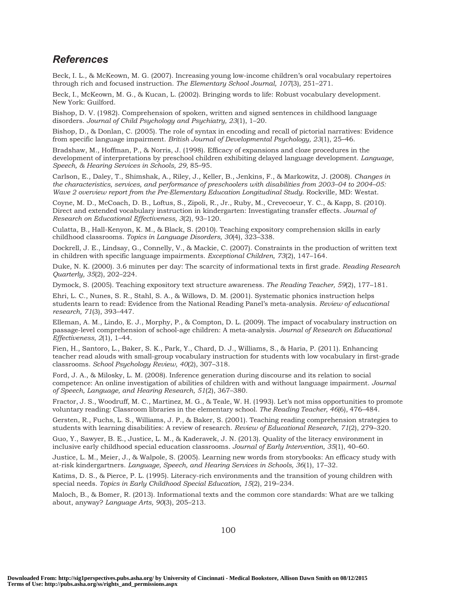#### References

Beck, I. L., & McKeown, M. G. (2007). Increasing young low-income children's oral vocabulary repertoires through rich and focused instruction. The Elementary School Journal, 107(3), 251–271.

Beck, I., McKeown, M. G., & Kucan, L. (2002). Bringing words to life: Robust vocabulary development. New York: Guilford.

Bishop, D. V. (1982). Comprehension of spoken, written and signed sentences in childhood language disorders. Journal of Child Psychology and Psychiatry, 23(1), 1–20.

Bishop, D., & Donlan, C. (2005). The role of syntax in encoding and recall of pictorial narratives: Evidence from specific language impairment. British Journal of Developmental Psychology, 23(1), 25–46.

Bradshaw, M., Hoffman, P., & Norris, J. (1998). Efficacy of expansions and cloze procedures in the development of interpretations by preschool children exhibiting delayed language development. Language, Speech, & Hearing Services in Schools, 29, 85–95.

Carlson, E., Daley, T., Shimshak, A., Riley, J., Keller, B., Jenkins, F., & Markowitz, J. (2008). Changes in the characteristics, services, and performance of preschoolers with disabilities from 2003–04 to 2004–05: Wave 2 overview report from the Pre-Elementary Education Longitudinal Study. Rockville, MD: Westat.

Coyne, M. D., McCoach, D. B., Loftus, S., Zipoli, R., Jr., Ruby, M., Crevecoeur, Y. C., & Kapp, S. (2010). Direct and extended vocabulary instruction in kindergarten: Investigating transfer effects. Journal of Research on Educational Effectiveness, 3(2), 93–120.

Culatta, B., Hall-Kenyon, K. M., & Black, S. (2010). Teaching expository comprehension skills in early childhood classrooms. Topics in Language Disorders, 30(4), 323–338.

Dockrell, J. E., Lindsay, G., Connelly, V., & Mackie, C. (2007). Constraints in the production of written text in children with specific language impairments. Exceptional Children, 73(2), 147–164.

Duke, N. K. (2000). 3.6 minutes per day: The scarcity of informational texts in first grade. Reading Research Quarterly, 35(2), 202–224.

Dymock, S. (2005). Teaching expository text structure awareness. The Reading Teacher, 59(2), 177–181.

Ehri, L. C., Nunes, S. R., Stahl, S. A., & Willows, D. M. (2001). Systematic phonics instruction helps students learn to read: Evidence from the National Reading Panel's meta-analysis. Review of educational research, 71(3), 393–447.

Elleman, A. M., Lindo, E. J., Morphy, P., & Compton, D. L. (2009). The impact of vocabulary instruction on passage-level comprehension of school-age children: A meta-analysis. Journal of Research on Educational Effectiveness, 2(1), 1–44.

Fien, H., Santoro, L., Baker, S. K., Park, Y., Chard, D. J., Williams, S., & Haria, P. (2011). Enhancing teacher read alouds with small-group vocabulary instruction for students with low vocabulary in first-grade classrooms. School Psychology Review, 40(2), 307–318.

Ford, J. A., & Milosky, L. M. (2008). Inference generation during discourse and its relation to social competence: An online investigation of abilities of children with and without language impairment. Journal of Speech, Language, and Hearing Research, 51(2), 367–380.

Fractor, J. S., Woodruff, M. C., Martinez, M. G., & Teale, W. H. (1993). Let's not miss opportunities to promote voluntary reading: Classroom libraries in the elementary school. The Reading Teacher, 46(6), 476–484.

Gersten, R., Fuchs, L. S., Williams, J. P., & Baker, S. (2001). Teaching reading comprehension strategies to students with learning disabilities: A review of research. Review of Educational Research, 71(2), 279–320.

Guo, Y., Sawyer, B. E., Justice, L. M., & Kaderavek, J. N. (2013). Quality of the literacy environment in inclusive early childhood special education classrooms. Journal of Early Intervention, 35(1), 40–60.

Justice, L. M., Meier, J., & Walpole, S. (2005). Learning new words from storybooks: An efficacy study with at-risk kindergartners. Language, Speech, and Hearing Services in Schools, 36(1), 17–32.

Katims, D. S., & Pierce, P. L. (1995). Literacy-rich environments and the transition of young children with special needs. Topics in Early Childhood Special Education, 15(2), 219–234.

Maloch, B., & Bomer, R. (2013). Informational texts and the common core standards: What are we talking about, anyway? Language Arts, 90(3), 205–213.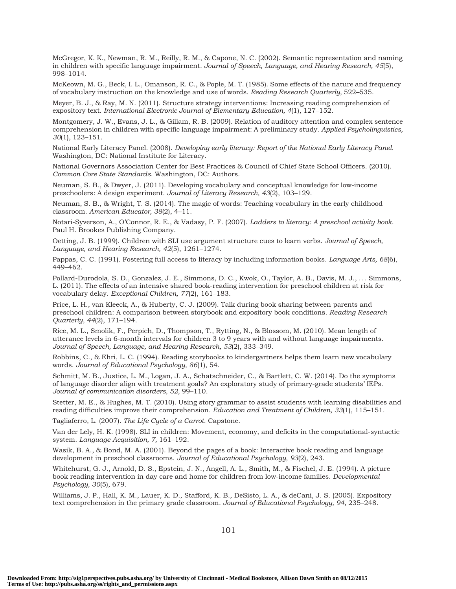McGregor, K. K., Newman, R. M., Reilly, R. M., & Capone, N. C. (2002). Semantic representation and naming in children with specific language impairment. Journal of Speech, Language, and Hearing Research, 45(5), 998–1014.

McKeown, M. G., Beck, I. L., Omanson, R. C., & Pople, M. T. (1985). Some effects of the nature and frequency of vocabulary instruction on the knowledge and use of words. Reading Research Quarterly, 522–535.

Meyer, B. J., & Ray, M. N. (2011). Structure strategy interventions: Increasing reading comprehension of expository text. International Electronic Journal of Elementary Education, 4(1), 127–152.

Montgomery, J. W., Evans, J. L., & Gillam, R. B. (2009). Relation of auditory attention and complex sentence comprehension in children with specific language impairment: A preliminary study. Applied Psycholinguistics, 30(1), 123–151.

National Early Literacy Panel. (2008). Developing early literacy: Report of the National Early Literacy Panel. Washington, DC: National Institute for Literacy.

National Governors Association Center for Best Practices & Council of Chief State School Officers. (2010). Common Core State Standards. Washington, DC: Authors.

Neuman, S. B., & Dwyer, J. (2011). Developing vocabulary and conceptual knowledge for low-income preschoolers: A design experiment. Journal of Literacy Research, 43(2), 103–129.

Neuman, S. B., & Wright, T. S. (2014). The magic of words: Teaching vocabulary in the early childhood classroom. American Educator, 38(2), 4–11.

Notari-Syverson, A., O'Connor, R. E., & Vadasy, P. F. (2007). Ladders to literacy: A preschool activity book. Paul H. Brookes Publishing Company.

Oetting, J. B. (1999). Children with SLI use argument structure cues to learn verbs. Journal of Speech, Language, and Hearing Research, 42(5), 1261–1274.

Pappas, C. C. (1991). Fostering full access to literacy by including information books. *Language Arts*, 68(6), 449–462.

Pollard-Durodola, S. D., Gonzalez, J. E., Simmons, D. C., Kwok, O., Taylor, A. B., Davis, M. J., ... Simmons, L. (2011). The effects of an intensive shared book-reading intervention for preschool children at risk for vocabulary delay. Exceptional Children, 77(2), 161–183.

Price, L. H., van Kleeck, A., & Huberty, C. J. (2009). Talk during book sharing between parents and preschool children: A comparison between storybook and expository book conditions. Reading Research Quarterly, 44(2), 171–194.

Rice, M. L., Smolik, F., Perpich, D., Thompson, T., Rytting, N., & Blossom, M. (2010). Mean length of utterance levels in 6-month intervals for children 3 to 9 years with and without language impairments. Journal of Speech, Language, and Hearing Research, 53(2), 333–349.

Robbins, C., & Ehri, L. C. (1994). Reading storybooks to kindergartners helps them learn new vocabulary words. Journal of Educational Psychology, 86(1), 54.

Schmitt, M. B., Justice, L. M., Logan, J. A., Schatschneider, C., & Bartlett, C. W. (2014). Do the symptoms of language disorder align with treatment goals? An exploratory study of primary-grade students' IEPs. Journal of communication disorders, 52, 99–110.

Stetter, M. E., & Hughes, M. T. (2010). Using story grammar to assist students with learning disabilities and reading difficulties improve their comprehension. Education and Treatment of Children, 33(1), 115–151.

Tagliaferro, L. (2007). The Life Cycle of a Carrot. Capstone.

Van der Lely, H. K. (1998). SLI in children: Movement, economy, and deficits in the computational-syntactic system. Language Acquisition, 7, 161–192.

Wasik, B. A., & Bond, M. A. (2001). Beyond the pages of a book: Interactive book reading and language development in preschool classrooms. Journal of Educational Psychology, 93(2), 243.

Whitehurst, G. J., Arnold, D. S., Epstein, J. N., Angell, A. L., Smith, M., & Fischel, J. E. (1994). A picture book reading intervention in day care and home for children from low-income families. Developmental Psychology, 30(5), 679.

Williams, J. P., Hall, K. M., Lauer, K. D., Stafford, K. B., DeSisto, L. A., & deCani, J. S. (2005). Expository text comprehension in the primary grade classroom. Journal of Educational Psychology, 94, 235–248.